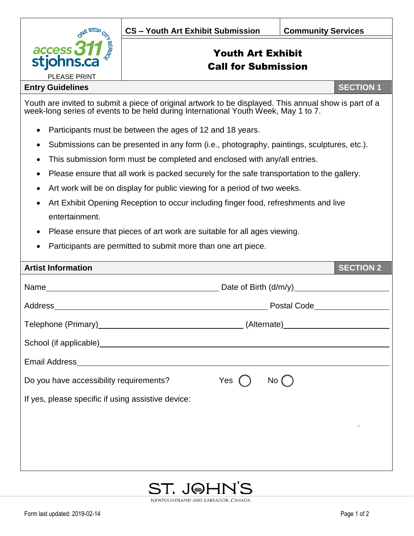

## Youth Art Exhibit Call for Submission

## **Entry Guidelines SECTION 1**

Youth are invited to submit a piece of original artwork to be displayed. This annual show is part of a week-long series of events to be held during International Youth Week, May 1 to 7.

- Participants must be between the ages of 12 and 18 years.
- Submissions can be presented in any form (i.e., photography, paintings, sculptures, etc.).
- This submission form must be completed and enclosed with any/all entries.
- Please ensure that all work is packed securely for the safe transportation to the gallery.
- Art work will be on display for public viewing for a period of two weeks.
- Art Exhibit Opening Reception to occur including finger food, refreshments and live entertainment.
- Please ensure that pieces of art work are suitable for all ages viewing.
- Participants are permitted to submit more than one art piece.

| <b>Artist Information</b>                                                                                                                                                                                                     |       |      | <b>SECTION 2</b> |
|-------------------------------------------------------------------------------------------------------------------------------------------------------------------------------------------------------------------------------|-------|------|------------------|
|                                                                                                                                                                                                                               |       |      |                  |
|                                                                                                                                                                                                                               |       |      |                  |
|                                                                                                                                                                                                                               |       |      |                  |
| School (if applicable) example and the set of the set of the set of the set of the set of the set of the set of the set of the set of the set of the set of the set of the set of the set of the set of the set of the set of |       |      |                  |
|                                                                                                                                                                                                                               |       |      |                  |
| Do you have accessibility requirements?                                                                                                                                                                                       | Yes ( | No ( |                  |
| If yes, please specific if using assistive device:                                                                                                                                                                            |       |      |                  |
|                                                                                                                                                                                                                               |       |      |                  |
|                                                                                                                                                                                                                               |       |      |                  |
|                                                                                                                                                                                                                               |       |      |                  |
|                                                                                                                                                                                                                               |       |      |                  |